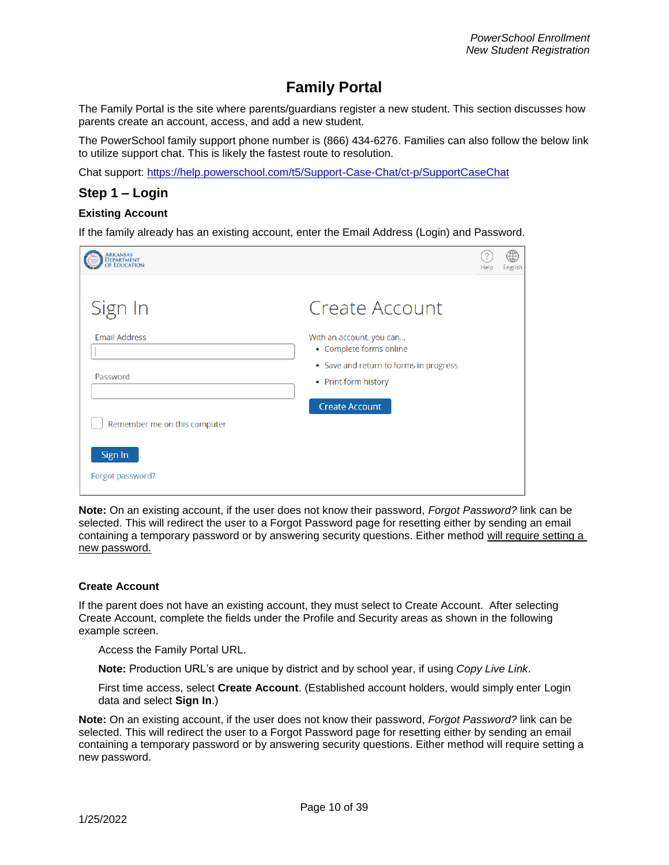# **Family Portal**

The Family Portal is the site where parents/guardians register a new student. This section discusses how parents create an account, access, and add a new student.

The PowerSchool family support phone number is (866) 434-6276. Families can also follow the below link to utilize support chat. This is likely the fastest route to resolution.

Chat support:<https://help.powerschool.com/t5/Support-Case-Chat/ct-p/SupportCaseChat>

### **Step 1 – Login**

#### **Existing Account**

If the family already has an existing account, enter the Email Address (Login) and Password.

| <b>RKANSAS</b>                                              |                                                                                                                                                                  | Help | English |
|-------------------------------------------------------------|------------------------------------------------------------------------------------------------------------------------------------------------------------------|------|---------|
| Sign In<br><b>Email Address</b><br>Password                 | Create Account<br>With an account, you can<br>• Complete forms online<br>• Save and return to forms in progress<br>• Print form history<br><b>Create Account</b> |      |         |
| Remember me on this computer<br>Sign In<br>Forgot password? |                                                                                                                                                                  |      |         |

**Note:** On an existing account, if the user does not know their password, *Forgot Password?* link can be selected. This will redirect the user to a Forgot Password page for resetting either by sending an email containing a temporary password or by answering security questions. Either method will require setting a new password.

#### **Create Account**

If the parent does not have an existing account, they must select to Create Account. After selecting Create Account, complete the fields under the Profile and Security areas as shown in the following example screen.

Access the Family Portal URL.

**Note:** Production URL's are unique by district and by school year, if using *Copy Live Link*.

First time access, select **Create Account**. (Established account holders, would simply enter Login data and select **Sign In**.)

**Note:** On an existing account, if the user does not know their password, *Forgot Password?* link can be selected. This will redirect the user to a Forgot Password page for resetting either by sending an email containing a temporary password or by answering security questions. Either method will require setting a new password.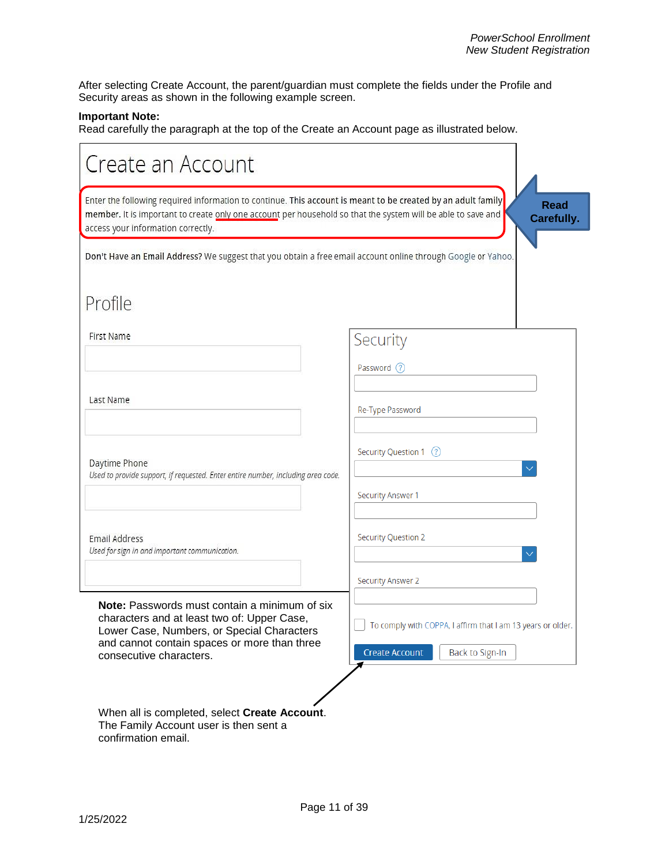After selecting Create Account, the parent/guardian must complete the fields under the Profile and Security areas as shown in the following example screen.

### **Important Note:**

Read carefully the paragraph at the top of the Create an Account page as illustrated below.

| Create an Account                                                                                                                                                                                                                                                  |                                                                                                         |
|--------------------------------------------------------------------------------------------------------------------------------------------------------------------------------------------------------------------------------------------------------------------|---------------------------------------------------------------------------------------------------------|
| Enter the following required information to continue. This account is meant to be created by an adult family<br>member. It is important to create only one account per household so that the system will be able to save and<br>access your information correctly. | <b>Read</b><br>Carefully.                                                                               |
| Don't Have an Email Address? We suggest that you obtain a free email account online through Google or Yahoo.                                                                                                                                                       |                                                                                                         |
| Profile                                                                                                                                                                                                                                                            |                                                                                                         |
| First Name                                                                                                                                                                                                                                                         | Security                                                                                                |
|                                                                                                                                                                                                                                                                    | Password (?)                                                                                            |
| Last Name                                                                                                                                                                                                                                                          | Re-Type Password                                                                                        |
| Daytime Phone<br>Used to provide support, if requested. Enter entire number, including area code.                                                                                                                                                                  | Security Question 1 (?)                                                                                 |
|                                                                                                                                                                                                                                                                    | <b>Security Answer 1</b>                                                                                |
| Email Address<br>Used for sign in and important communication.                                                                                                                                                                                                     | <b>Security Question 2</b>                                                                              |
|                                                                                                                                                                                                                                                                    | <b>Security Answer 2</b>                                                                                |
| <b>Note:</b> Passwords must contain a minimum of six<br>characters and at least two of: Upper Case,<br>Lower Case, Numbers, or Special Characters<br>and cannot contain spaces or more than three<br>consecutive characters.                                       | To comply with COPPA, I affirm that I am 13 years or older.<br><b>Create Account</b><br>Back to Sign-In |
| When all is completed, select Create Account.<br>The Family Account user is then sent a<br>confirmation email.                                                                                                                                                     |                                                                                                         |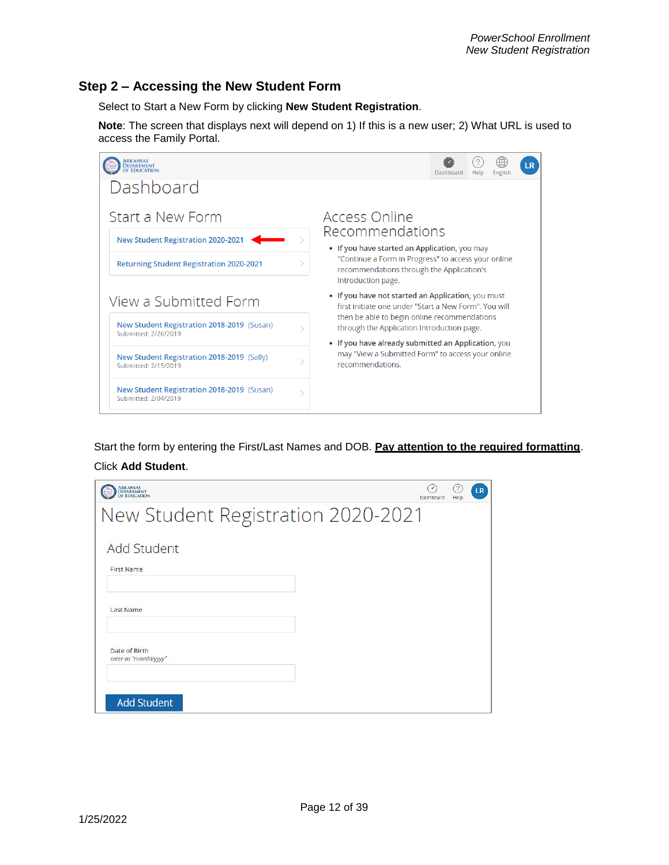## **Step 2 – Accessing the New Student Form**

Select to Start a New Form by clicking **New Student Registration**.

**Note**: The screen that displays next will depend on 1) If this is a new user; 2) What URL is used to access the Family Portal.



Start the form by entering the First/Last Names and DOB. **Pay attention to the required formatting**. Click **Add Student**.

| ARKANSAS<br>Department<br>Of Education | D<br>Dashboard | $\mathcal{L}$<br>Help | <b>LR</b> |
|----------------------------------------|----------------|-----------------------|-----------|
| New Student Registration 2020-2021     |                |                       |           |
| Add Student                            |                |                       |           |
| First Name                             |                |                       |           |
| Last Name                              |                |                       |           |
| Date of Birth<br>enter as "mm/dd/yyyy" |                |                       |           |
| <b>Add Student</b>                     |                |                       |           |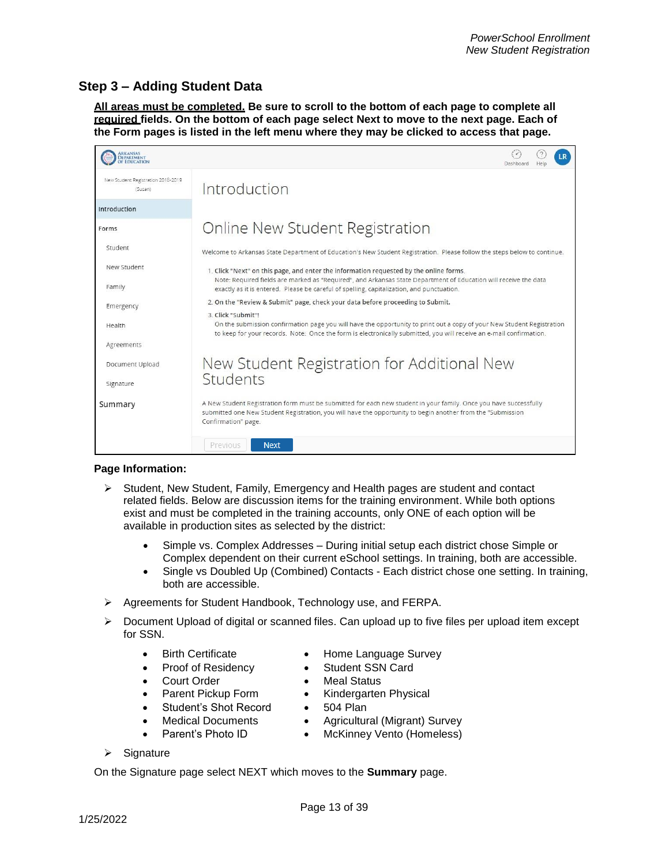# **Step 3 – Adding Student Data**

**All areas must be completed. Be sure to scroll to the bottom of each page to complete all required fields. On the bottom of each page select Next to move to the next page. Each of the Form pages is listed in the left menu where they may be clicked to access that page.**



#### **Page Information:**

- $\triangleright$  Student, New Student, Family, Emergency and Health pages are student and contact related fields. Below are discussion items for the training environment. While both options exist and must be completed in the training accounts, only ONE of each option will be available in production sites as selected by the district:
	- Simple vs. Complex Addresses During initial setup each district chose Simple or Complex dependent on their current eSchool settings. In training, both are accessible.
	- Single vs Doubled Up (Combined) Contacts Each district chose one setting. In training, both are accessible.
- Agreements for Student Handbook, Technology use, and FERPA.
- $\triangleright$  Document Upload of digital or scanned files. Can upload up to five files per upload item except for SSN.
	- Birth Certificate Home Language Survey
	- Proof of Residency **Card** Student SSN Card
	-
	-
	- Student's Shot Record 504 Plan
	-
- 
- 
- Court Order **Court Order Meal Status**
- Parent Pickup Form Kindergarten Physical
	-
- Medical Documents Agricultural (Migrant) Survey
- Parent's Photo ID McKinney Vento (Homeless)
- $\triangleright$  Signature

On the Signature page select NEXT which moves to the **Summary** page.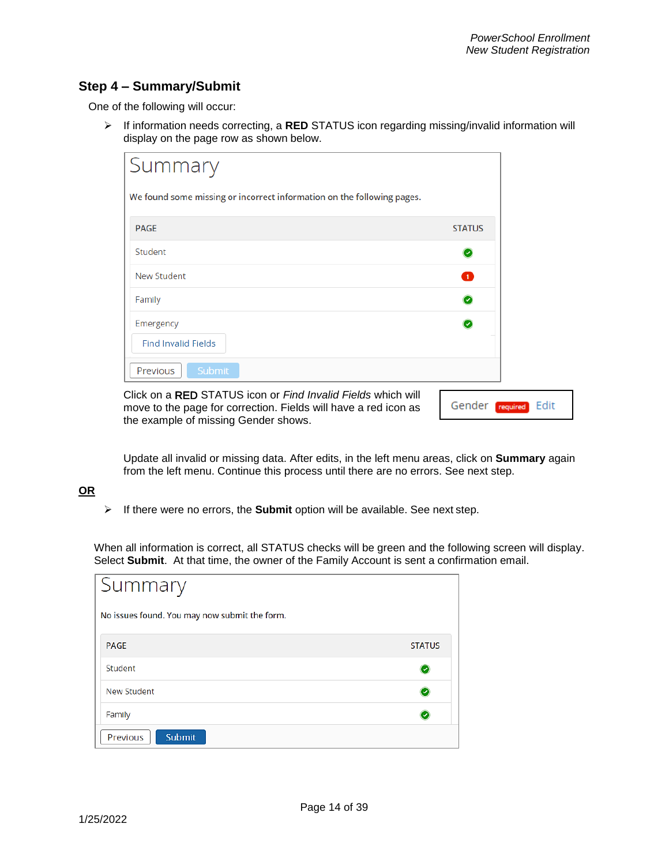## **Step 4 – Summary/Submit**

One of the following will occur:

 If information needs correcting, a **RED** STATUS icon regarding missing/invalid information will display on the page row as shown below.

| Summary                                                                |               |
|------------------------------------------------------------------------|---------------|
| We found some missing or incorrect information on the following pages. |               |
| <b>PAGE</b>                                                            | <b>STATUS</b> |
| Student                                                                | Ο             |
| <b>New Student</b>                                                     | ❶             |
| Family                                                                 | Ø             |
| Emergency                                                              | $\bullet$     |
| <b>Find Invalid Fields</b>                                             |               |
| Submit<br>Previous                                                     |               |

Click on a RED STATUS icon or *Find Invalid Fields* which will move to the page for correction. Fields will have a red icon as the example of missing Gender shows.

Gender required Edit

Update all invalid or missing data. After edits, in the left menu areas, click on **Summary** again from the left menu. Continue this process until there are no errors. See next step.

### **OR**

If there were no errors, the **Submit** option will be available. See next step.

When all information is correct, all STATUS checks will be green and the following screen will display. Select **Submit**. At that time, the owner of the Family Account is sent a confirmation email.

| Summary                                       |               |
|-----------------------------------------------|---------------|
| No issues found. You may now submit the form. |               |
| <b>PAGE</b>                                   | <b>STATUS</b> |
| Student                                       |               |
| New Student                                   |               |
| Family                                        |               |
| Submit<br>Previous                            |               |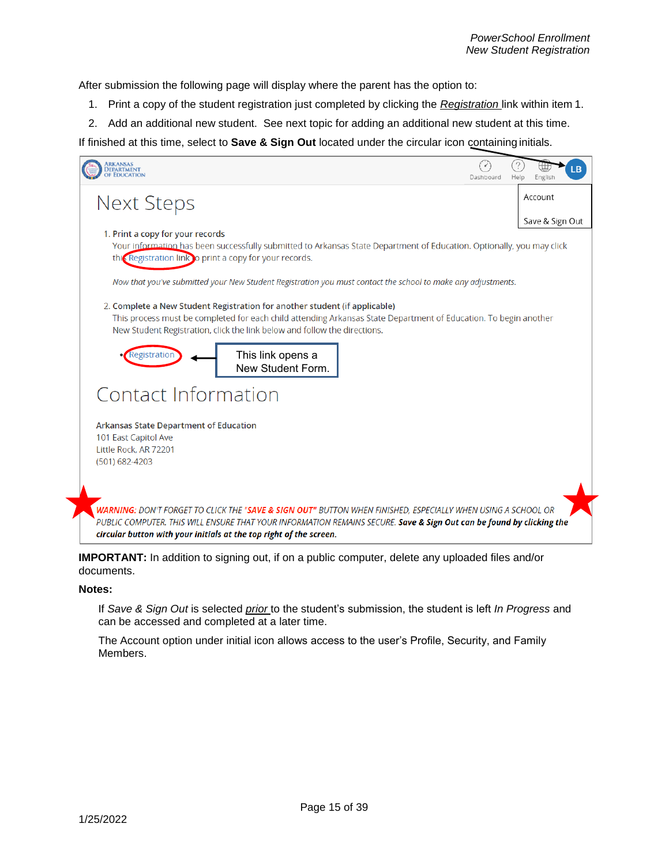After submission the following page will display where the parent has the option to:

- 1. Print a copy of the student registration just completed by clicking the *Registration* link within item 1.
- 2. Add an additional new student. See next topic for adding an additional new student at this time.

If finished at this time, select to **Save & Sign Out** located under the circular icon containing initials.



**IMPORTANT:** In addition to signing out, if on a public computer, delete any uploaded files and/or documents.

#### **Notes:**

If *Save & Sign Out* is selected *prior* to the student's submission, the student is left *In Progress* and can be accessed and completed at a later time.

The Account option under initial icon allows access to the user's Profile, Security, and Family Members.